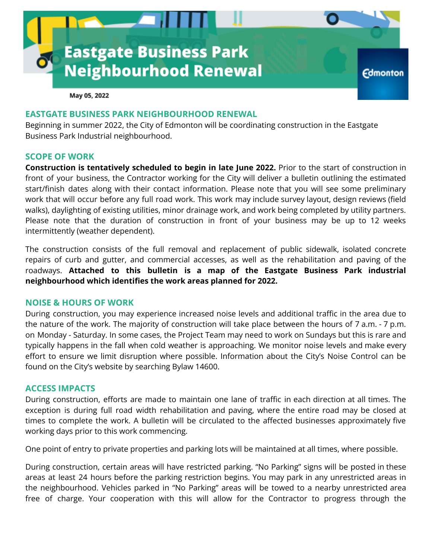

May 05, 2022

# **EASTGATE BUSINESS PARK NEIGHBOURHOOD RENEWAL**

Beginning in summer 2022, the City of Edmonton will be coordinating construction in the Eastgate Business Park Industrial neighbourhood.

#### **SCOPE OF WORK**

**Construction is tentatively scheduled to begin in late June 2022.** Prior to the start of construction in front of your business, the Contractor working for the City will deliver a bulletin outlining the estimated start/finish dates along with their contact information. Please note that you will see some preliminary work that will occur before any full road work. This work may include survey layout, design reviews (field walks), daylighting of existing utilities, minor drainage work, and work being completed by utility partners. Please note that the duration of construction in front of your business may be up to 12 weeks intermittently (weather dependent).

The construction consists of the full removal and replacement of public sidewalk, isolated concrete repairs of curb and gutter, and commercial accesses, as well as the rehabilitation and paving of the roadways. **Attached to this bulletin is a map of the Eastgate Business Park industrial neighbourhood which identifies the work areas planned for 2022.**

### **NOISE & HOURS OF WORK**

During construction, you may experience increased noise levels and additional traffic in the area due to the nature of the work. The majority of construction will take place between the hours of 7 a.m. - 7 p.m. on Monday - Saturday. In some cases, the Project Team may need to work on Sundays but this is rare and typically happens in the fall when cold weather is approaching. We monitor noise levels and make every effort to ensure we limit disruption where possible. Information about the City's Noise Control can be found on the City's website by searching Bylaw 14600.

### **ACCESS IMPACTS**

During construction, efforts are made to maintain one lane of traffic in each direction at all times. The exception is during full road width rehabilitation and paving, where the entire road may be closed at times to complete the work. A bulletin will be circulated to the affected businesses approximately five working days prior to this work commencing.

One point of entry to private properties and parking lots will be maintained at all times, where possible.

During construction, certain areas will have restricted parking. "No Parking" signs will be posted in these areas at least 24 hours before the parking restriction begins. You may park in any unrestricted areas in the neighbourhood. Vehicles parked in "No Parking" areas will be towed to a nearby unrestricted area free of charge. Your cooperation with this will allow for the Contractor to progress through the